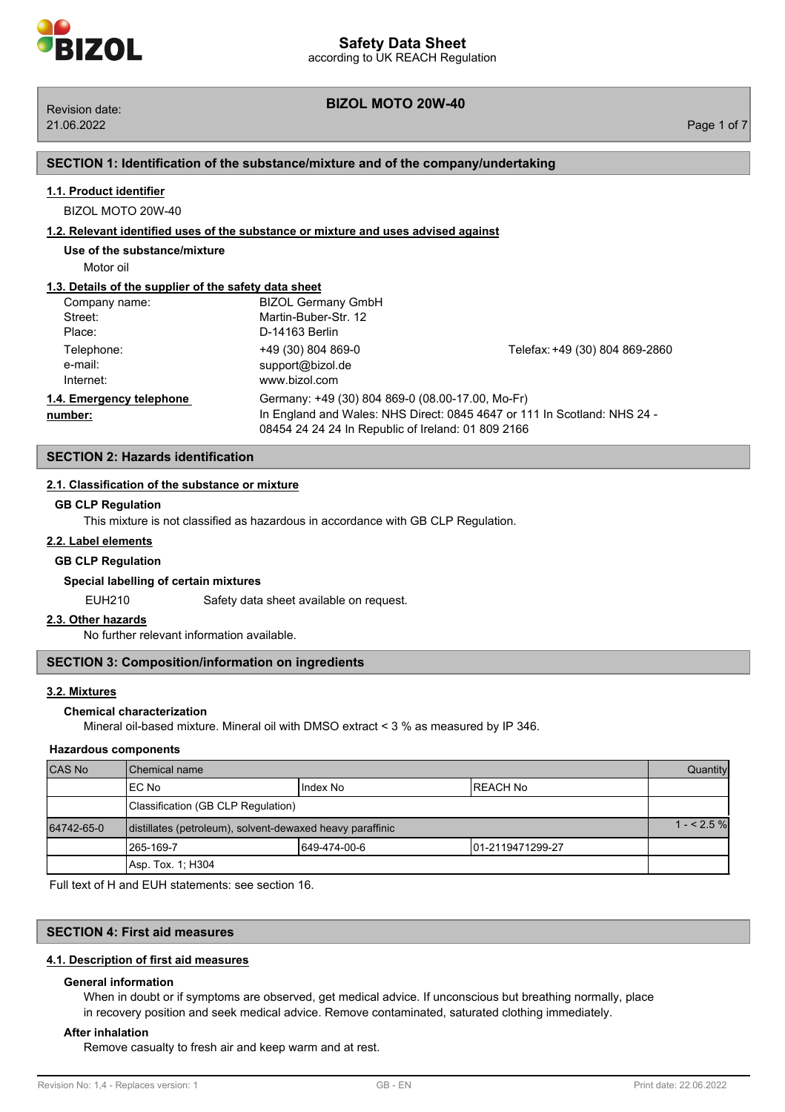#### **SECTION 1: Identification of the substance/mixture and of the company/undertaking**

## **1.1. Product identifier**

BIZOL MOTO 20W-40

#### **1.2. Relevant identified uses of the substance or mixture and uses advised against**

**Use of the substance/mixture**

Motor oil

#### **1.3. Details of the supplier of the safety data sheet**

| Company name:                       | <b>BIZOL Germany GmbH</b>                                                                                                                                                          |                                |
|-------------------------------------|------------------------------------------------------------------------------------------------------------------------------------------------------------------------------------|--------------------------------|
| Street:<br>Place:                   | Martin-Buber-Str. 12<br>D-14163 Berlin                                                                                                                                             |                                |
| Telephone:<br>e-mail:<br>Internet:  | +49 (30) 804 869-0<br>support@bizol.de<br>www.bizol.com                                                                                                                            | Telefax: +49 (30) 804 869-2860 |
| 1.4. Emergency telephone<br>number: | Germany: +49 (30) 804 869-0 (08.00-17.00, Mo-Fr)<br>In England and Wales: NHS Direct: 0845 4647 or 111 In Scotland: NHS 24 -<br>08454 24 24 24 In Republic of Ireland: 01 809 2166 |                                |

# **SECTION 2: Hazards identification**

#### **2.1. Classification of the substance or mixture**

#### **GB CLP Regulation**

This mixture is not classified as hazardous in accordance with GB CLP Regulation.

### **2.2. Label elements**

#### **GB CLP Regulation**

#### **Special labelling of certain mixtures**

EUH210 Safety data sheet available on request.

#### **2.3. Other hazards**

No further relevant information available.

### **SECTION 3: Composition/information on ingredients**

#### **3.2. Mixtures**

### **Chemical characterization**

Mineral oil-based mixture. Mineral oil with DMSO extract < 3 % as measured by IP 346.

#### **Hazardous components**

| <b>CAS No</b> | <b>I</b> Chemical name                                    |              | <b>Quantity</b>   |  |
|---------------|-----------------------------------------------------------|--------------|-------------------|--|
|               | IEC No                                                    | Index No     | IREACH No         |  |
|               | Classification (GB CLP Regulation)                        |              |                   |  |
| 64742-65-0    | distillates (petroleum), solvent-dewaxed heavy paraffinic |              | $1 - 2.5%$        |  |
|               | 1265-169-7                                                | 649-474-00-6 | 101-2119471299-27 |  |
|               | Asp. Tox. 1: H304                                         |              |                   |  |

Full text of H and EUH statements: see section 16.

# **SECTION 4: First aid measures**

#### **4.1. Description of first aid measures**

#### **General information**

When in doubt or if symptoms are observed, get medical advice. If unconscious but breathing normally, place in recovery position and seek medical advice. Remove contaminated, saturated clothing immediately.

#### **After inhalation**

Remove casualty to fresh air and keep warm and at rest.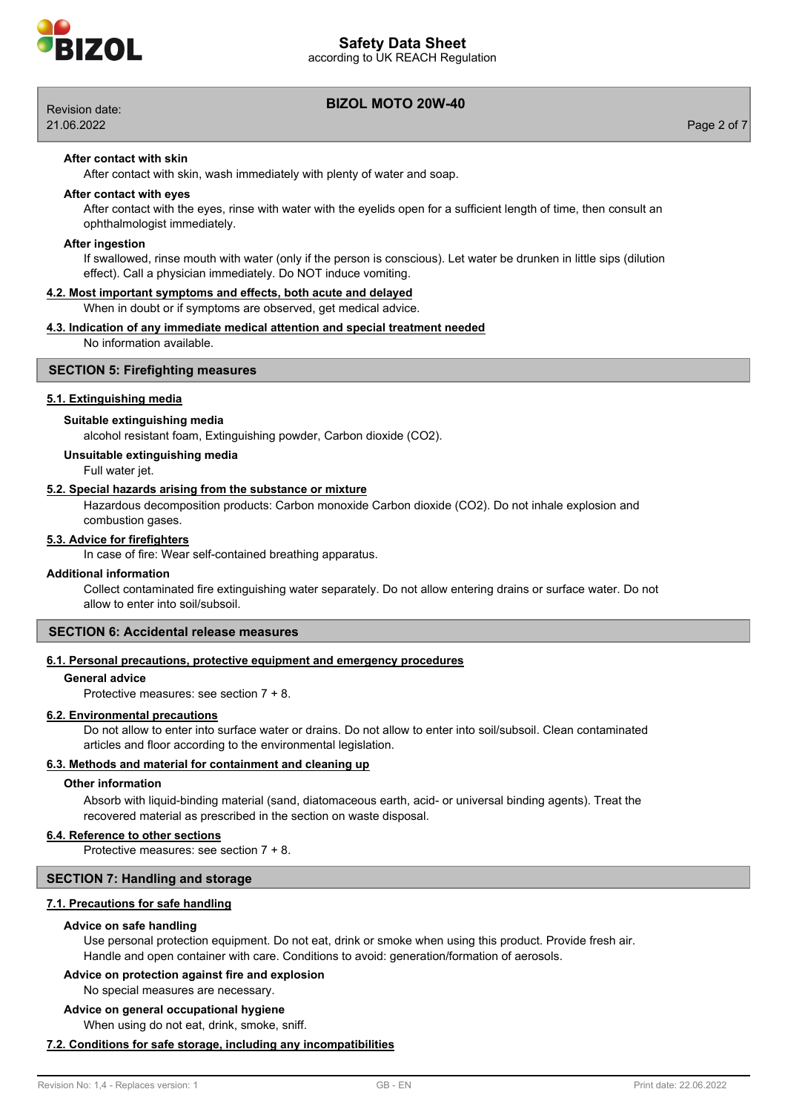

according to UK REACH Regulation



# **BIZOL MOTO 20W-40** Revision date:

21.06.2022 Page 2 of 7

#### **After contact with skin**

After contact with skin, wash immediately with plenty of water and soap.

#### **After contact with eyes**

After contact with the eyes, rinse with water with the eyelids open for a sufficient length of time, then consult an ophthalmologist immediately.

#### **After ingestion**

If swallowed, rinse mouth with water (only if the person is conscious). Let water be drunken in little sips (dilution effect). Call a physician immediately. Do NOT induce vomiting.

#### **4.2. Most important symptoms and effects, both acute and delayed**

When in doubt or if symptoms are observed, get medical advice.

#### **4.3. Indication of any immediate medical attention and special treatment needed**

No information available.

#### **SECTION 5: Firefighting measures**

#### **5.1. Extinguishing media**

#### **Suitable extinguishing media**

alcohol resistant foam, Extinguishing powder, Carbon dioxide (CO2).

#### **Unsuitable extinguishing media**

Full water jet.

#### **5.2. Special hazards arising from the substance or mixture**

Hazardous decomposition products: Carbon monoxide Carbon dioxide (CO2). Do not inhale explosion and combustion gases.

#### **5.3. Advice for firefighters**

In case of fire: Wear self-contained breathing apparatus.

#### **Additional information**

Collect contaminated fire extinguishing water separately. Do not allow entering drains or surface water. Do not allow to enter into soil/subsoil.

## **SECTION 6: Accidental release measures**

#### **6.1. Personal precautions, protective equipment and emergency procedures**

#### **General advice**

Protective measures: see section 7 + 8.

#### **6.2. Environmental precautions**

Do not allow to enter into surface water or drains. Do not allow to enter into soil/subsoil. Clean contaminated articles and floor according to the environmental legislation.

#### **6.3. Methods and material for containment and cleaning up**

#### **Other information**

Absorb with liquid-binding material (sand, diatomaceous earth, acid- or universal binding agents). Treat the recovered material as prescribed in the section on waste disposal.

#### **6.4. Reference to other sections**

Protective measures: see section 7 + 8.

#### **SECTION 7: Handling and storage**

#### **7.1. Precautions for safe handling**

#### **Advice on safe handling**

Use personal protection equipment. Do not eat, drink or smoke when using this product. Provide fresh air. Handle and open container with care. Conditions to avoid: generation/formation of aerosols.

# **Advice on protection against fire and explosion**

No special measures are necessary.

#### **Advice on general occupational hygiene**

When using do not eat, drink, smoke, sniff.

## **7.2. Conditions for safe storage, including any incompatibilities**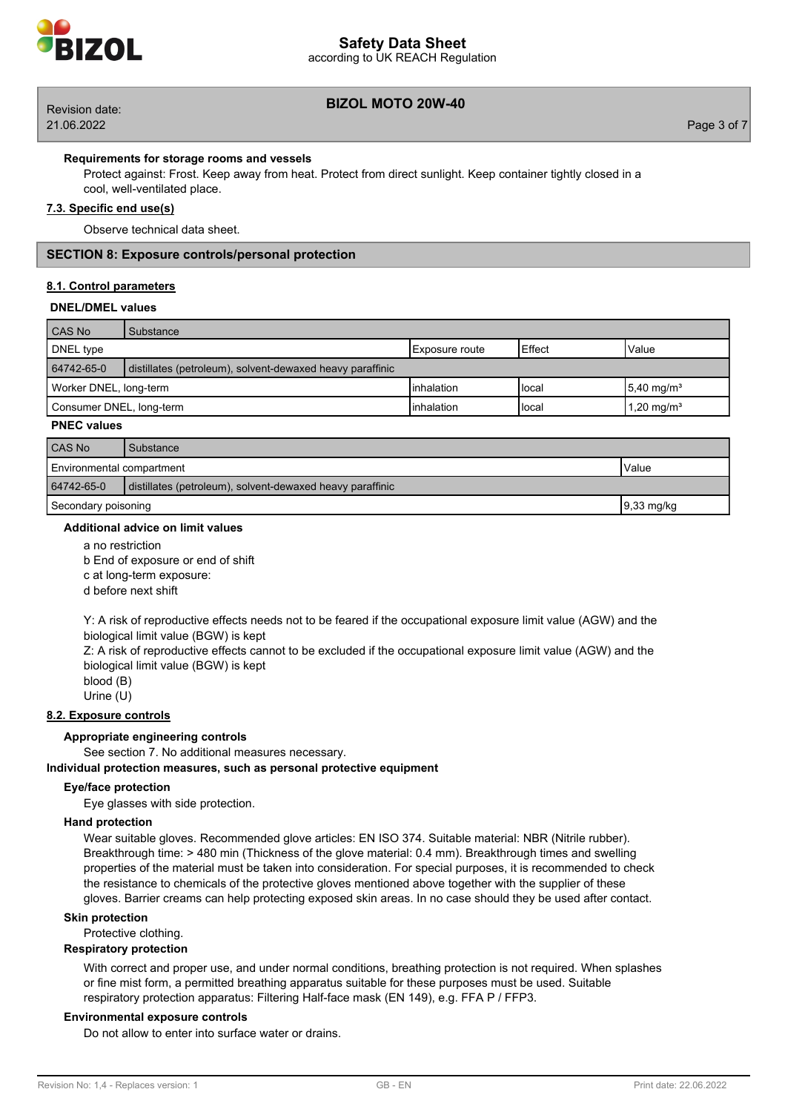

# **Safety Data Sheet**

according to UK REACH Regulation

# **BIZOL MOTO 20W-40** Revision date:

21.06.2022 Page 3 of 7

#### **Requirements for storage rooms and vessels**

Protect against: Frost. Keep away from heat. Protect from direct sunlight. Keep container tightly closed in a cool, well-ventilated place.

# **7.3. Specific end use(s)**

Observe technical data sheet.

### **SECTION 8: Exposure controls/personal protection**

#### **8.1. Control parameters**

#### **DNEL/DMEL values**

| CAS No                   | Substance                                                 |                        |          |                           |
|--------------------------|-----------------------------------------------------------|------------------------|----------|---------------------------|
| DNEL type                |                                                           | <b>IExposure</b> route | l Effect | Value                     |
| 64742-65-0               | distillates (petroleum), solvent-dewaxed heavy paraffinic |                        |          |                           |
| Worker DNEL, long-term   |                                                           | Iinhalation            | l local  | $15,40$ mg/m <sup>3</sup> |
| Consumer DNEL, long-term |                                                           | linhalation            | l local  | 1,20 mg/m <sup>3</sup>    |

#### **PNEC values**

| CAS No                                                                  | Substance |  |
|-------------------------------------------------------------------------|-----------|--|
| Environmental compartment<br>Value                                      |           |  |
| 64742-65-0<br>distillates (petroleum), solvent-dewaxed heavy paraffinic |           |  |
| Secondary poisoning<br>$19,33 \text{ mg/kg}$                            |           |  |

#### **Additional advice on limit values**

a no restriction

b End of exposure or end of shift

c at long-term exposure:

d before next shift

Y: A risk of reproductive effects needs not to be feared if the occupational exposure limit value (AGW) and the biological limit value (BGW) is kept

Z: A risk of reproductive effects cannot to be excluded if the occupational exposure limit value (AGW) and the biological limit value (BGW) is kept

blood (B)

# Urine (U)

# **8.2. Exposure controls**

#### **Appropriate engineering controls**

See section 7. No additional measures necessary.

#### **Individual protection measures, such as personal protective equipment**

#### **Eye/face protection**

Eye glasses with side protection.

### **Hand protection**

Wear suitable gloves. Recommended glove articles: EN ISO 374. Suitable material: NBR (Nitrile rubber). Breakthrough time: > 480 min (Thickness of the glove material: 0.4 mm). Breakthrough times and swelling properties of the material must be taken into consideration. For special purposes, it is recommended to check the resistance to chemicals of the protective gloves mentioned above together with the supplier of these gloves. Barrier creams can help protecting exposed skin areas. In no case should they be used after contact.

### **Skin protection**

Protective clothing.

### **Respiratory protection**

With correct and proper use, and under normal conditions, breathing protection is not required. When splashes or fine mist form, a permitted breathing apparatus suitable for these purposes must be used. Suitable respiratory protection apparatus: Filtering Half-face mask (EN 149), e.g. FFA P / FFP3.

#### **Environmental exposure controls**

Do not allow to enter into surface water or drains.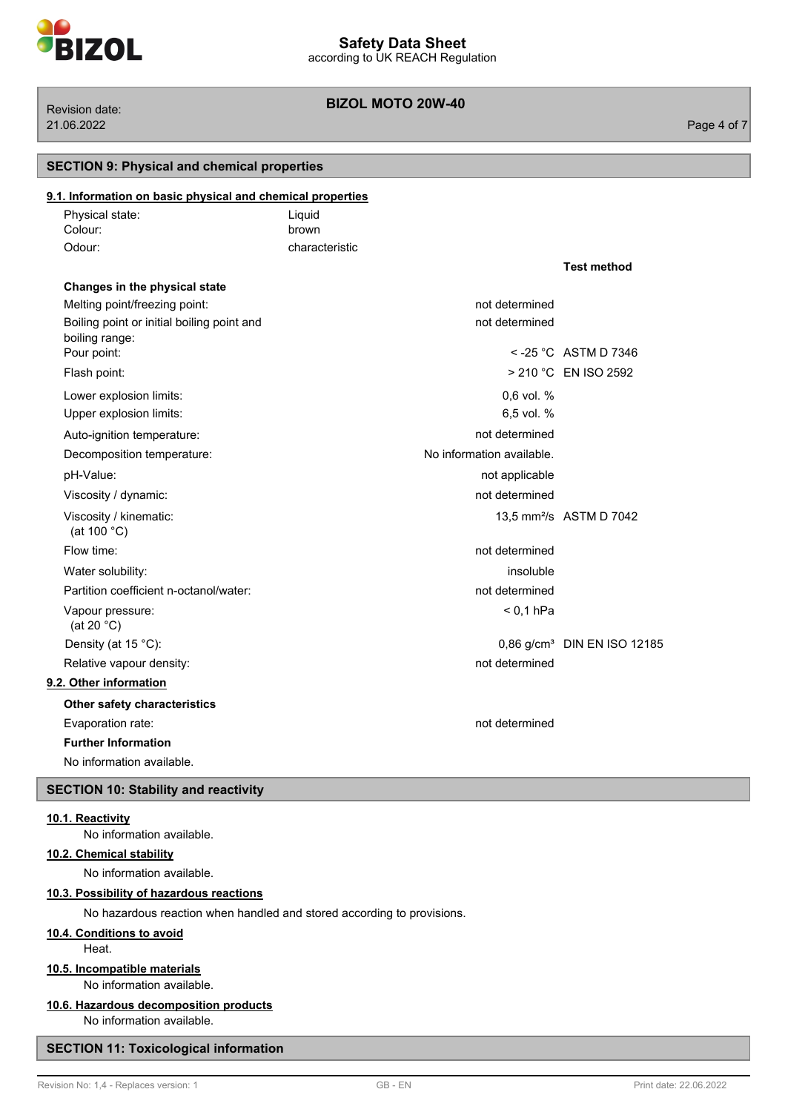

**BIZOL MOTO 20W-40** Revision date:

| <b>SECTION 9: Physical and chemical properties</b> |                                                            |                                         |
|----------------------------------------------------|------------------------------------------------------------|-----------------------------------------|
|                                                    |                                                            |                                         |
| Liquid                                             |                                                            |                                         |
| brown                                              |                                                            |                                         |
| characteristic                                     |                                                            |                                         |
|                                                    |                                                            | <b>Test method</b>                      |
|                                                    |                                                            |                                         |
|                                                    | not determined                                             |                                         |
|                                                    | not determined                                             |                                         |
|                                                    |                                                            | $<$ -25 °C ASTM D 7346                  |
|                                                    |                                                            | > 210 °C EN ISO 2592                    |
|                                                    | 0.6 vol. %                                                 |                                         |
|                                                    | 6,5 vol. %                                                 |                                         |
|                                                    | not determined                                             |                                         |
|                                                    | No information available.                                  |                                         |
|                                                    | not applicable                                             |                                         |
|                                                    | not determined                                             |                                         |
|                                                    |                                                            | 13.5 mm <sup>2</sup> /s ASTM D 7042     |
|                                                    | not determined                                             |                                         |
|                                                    | insoluble                                                  |                                         |
|                                                    | not determined                                             |                                         |
|                                                    | $< 0.1$ hPa                                                |                                         |
|                                                    |                                                            | 0.86 g/cm <sup>3</sup> DIN EN ISO 12185 |
|                                                    | not determined                                             |                                         |
|                                                    |                                                            |                                         |
|                                                    |                                                            |                                         |
|                                                    | not determined                                             |                                         |
|                                                    |                                                            |                                         |
|                                                    |                                                            |                                         |
|                                                    |                                                            |                                         |
|                                                    | 9.1. Information on basic physical and chemical properties |                                         |

#### **10.1. Reactivity**

No information available.

### **10.2. Chemical stability**

No information available.

### **10.3. Possibility of hazardous reactions**

No hazardous reaction when handled and stored according to provisions.

### **10.4. Conditions to avoid**

Heat.

# **10.5. Incompatible materials**

No information available.

# **10.6. Hazardous decomposition products**

No information available.

# **SECTION 11: Toxicological information**

#### 21.06.2022 Page 4 of 7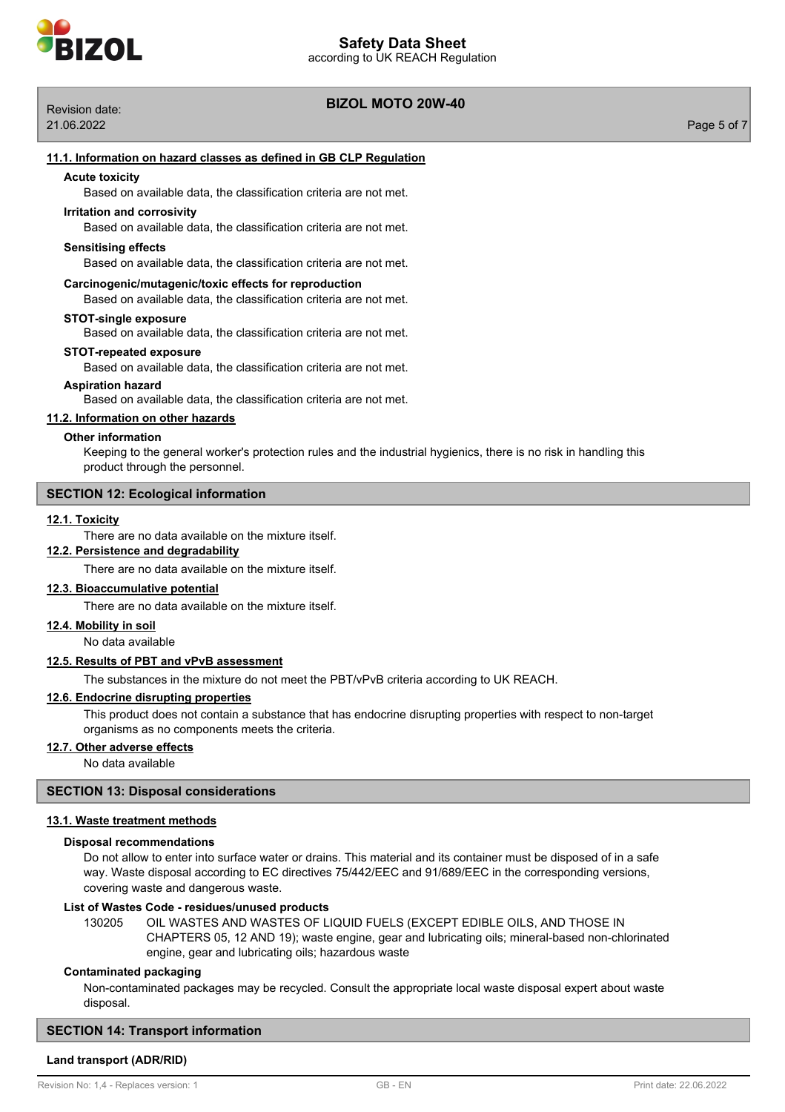

# **BIZOL MOTO 20W-40** Revision date:

21.06.2022 Page 5 of 7

# **Acute toxicity** Based on available data, the classification criteria are not met. Based on available data, the classification criteria are not met. **Irritation and corrosivity Sensitising effects** Based on available data, the classification criteria are not met. **Carcinogenic/mutagenic/toxic effects for reproduction** Based on available data, the classification criteria are not met. **STOT-single exposure** Based on available data, the classification criteria are not met. Based on available data, the classification criteria are not met. **STOT-repeated exposure Aspiration hazard**

Based on available data, the classification criteria are not met.

**11.1. Information on hazard classes as defined in GB CLP Regulation**

# **11.2. Information on other hazards**

# **Other information**

Keeping to the general worker's protection rules and the industrial hygienics, there is no risk in handling this product through the personnel.

# **SECTION 12: Ecological information**

# **12.1. Toxicity**

There are no data available on the mixture itself.

# **12.2. Persistence and degradability**

There are no data available on the mixture itself.

# **12.3. Bioaccumulative potential**

There are no data available on the mixture itself.

# **12.4. Mobility in soil**

No data available

# **12.5. Results of PBT and vPvB assessment**

The substances in the mixture do not meet the PBT/vPvB criteria according to UK REACH.

# **12.6. Endocrine disrupting properties**

This product does not contain a substance that has endocrine disrupting properties with respect to non-target organisms as no components meets the criteria.

# **12.7. Other adverse effects**

No data available

# **SECTION 13: Disposal considerations**

# **13.1. Waste treatment methods**

# **Disposal recommendations**

Do not allow to enter into surface water or drains. This material and its container must be disposed of in a safe way. Waste disposal according to EC directives 75/442/EEC and 91/689/EEC in the corresponding versions, covering waste and dangerous waste.

# **List of Wastes Code - residues/unused products**

130205 OIL WASTES AND WASTES OF LIQUID FUELS (EXCEPT EDIBLE OILS, AND THOSE IN CHAPTERS 05, 12 AND 19); waste engine, gear and lubricating oils; mineral-based non-chlorinated engine, gear and lubricating oils; hazardous waste

# **Contaminated packaging**

Non-contaminated packages may be recycled. Consult the appropriate local waste disposal expert about waste disposal.

# **SECTION 14: Transport information**

# **Land transport (ADR/RID)**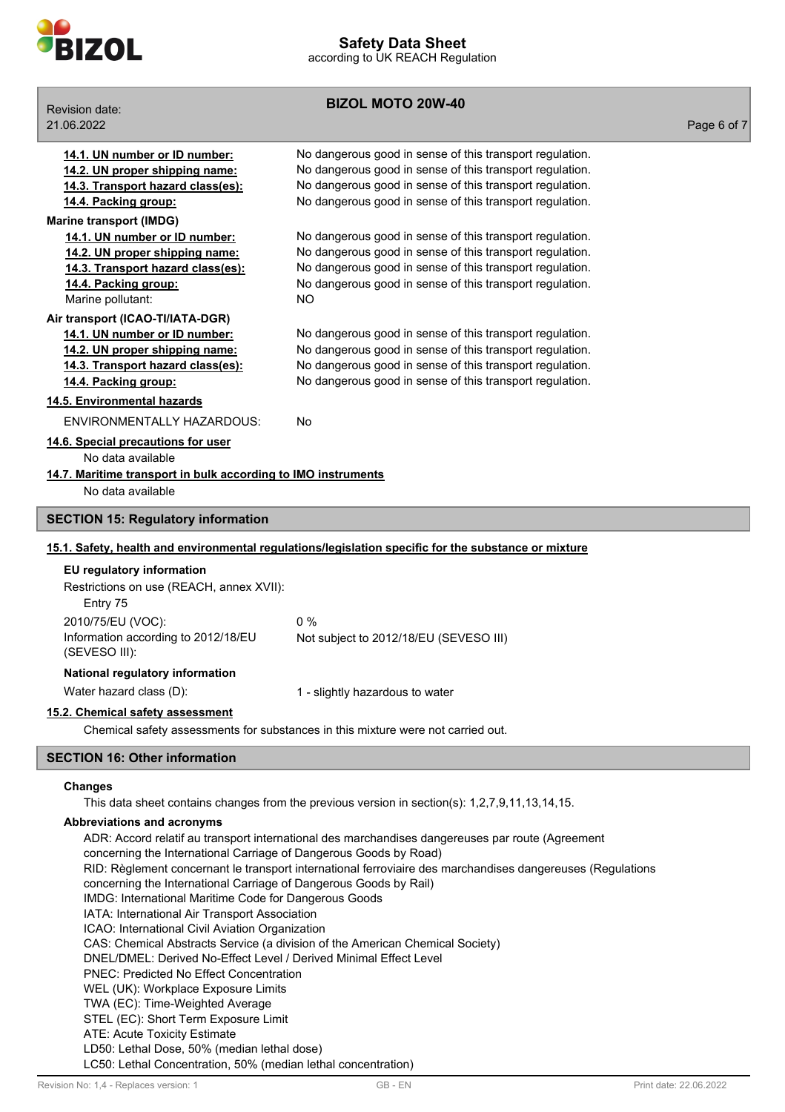

**BIZOL MOTO 20W-40** Revision date: 21.06.2022 Page 6 of 7 **14.1. UN number or ID number:** No dangerous good in sense of this transport regulation. **14.2. UN proper shipping name:** No dangerous good in sense of this transport regulation. **14.3. Transport hazard class(es):** No dangerous good in sense of this transport regulation. **14.4. Packing group:** No dangerous good in sense of this transport regulation. **Marine transport (IMDG) 14.1. UN number or ID number:** No dangerous good in sense of this transport regulation. **14.2. UN proper shipping name:** No dangerous good in sense of this transport regulation. **14.3. Transport hazard class(es):** No dangerous good in sense of this transport regulation. **14.4. Packing group:** No dangerous good in sense of this transport regulation. Marine pollutant: NO **Air transport (ICAO-TI/IATA-DGR) 14.1. UN number or ID number:** No dangerous good in sense of this transport regulation. **14.2. UN proper shipping name:** No dangerous good in sense of this transport regulation. **14.3. Transport hazard class(es):** No dangerous good in sense of this transport regulation. **14.4. Packing group:** No dangerous good in sense of this transport regulation. **14.5. Environmental hazards** ENVIRONMENTALLY HAZARDOUS: No **14.6. Special precautions for user** No data available **14.7. Maritime transport in bulk according to IMO instruments** No data available **SECTION 15: Regulatory information 15.1. Safety, health and environmental regulations/legislation specific for the substance or mixture EU regulatory information** Restrictions on use (REACH, annex XVII): Entry 75 2010/75/EU (VOC): 0 % Information according to 2012/18/EU (SEVESO III): Not subject to 2012/18/EU (SEVESO III) **National regulatory information** Water hazard class (D): 1 - slightly hazardous to water **15.2. Chemical safety assessment** Chemical safety assessments for substances in this mixture were not carried out. **SECTION 16: Other information Changes** This data sheet contains changes from the previous version in section(s): 1,2,7,9,11,13,14,15.

**Abbreviations and acronyms**

ADR: Accord relatif au transport international des marchandises dangereuses par route (Agreement concerning the International Carriage of Dangerous Goods by Road) RID: Règlement concernant le transport international ferroviaire des marchandises dangereuses (Regulations concerning the International Carriage of Dangerous Goods by Rail) IMDG: International Maritime Code for Dangerous Goods IATA: International Air Transport Association ICAO: International Civil Aviation Organization CAS: Chemical Abstracts Service (a division of the American Chemical Society) DNEL/DMEL: Derived No-Effect Level / Derived Minimal Effect Level PNEC: Predicted No Effect Concentration WEL (UK): Workplace Exposure Limits TWA (EC): Time-Weighted Average STEL (EC): Short Term Exposure Limit ATE: Acute Toxicity Estimate LD50: Lethal Dose, 50% (median lethal dose) LC50: Lethal Concentration, 50% (median lethal concentration)